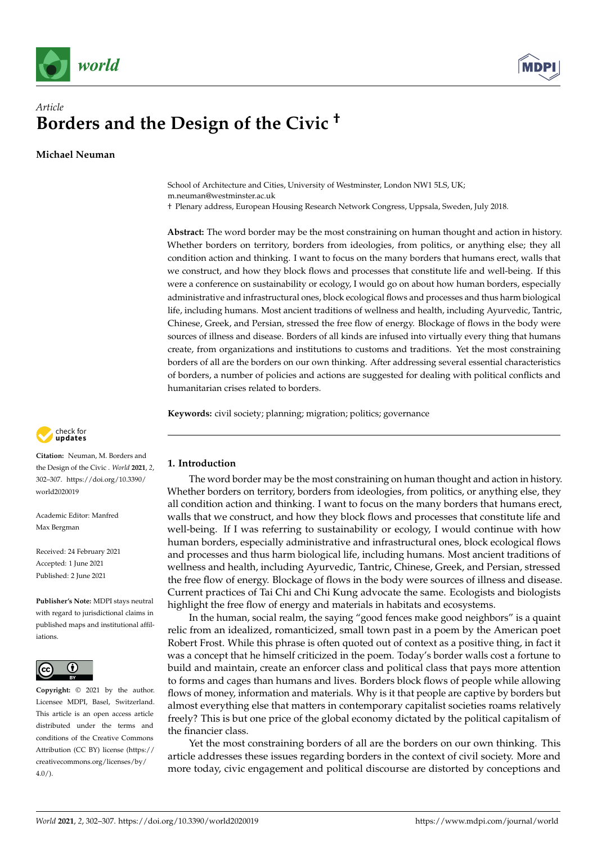



# *Article* **Borders and the Design of the Civic †**

**Michael Neuman**

School of Architecture and Cities, University of Westminster, London NW1 5LS, UK; m.neuman@westminster.ac.uk

† Plenary address, European Housing Research Network Congress, Uppsala, Sweden, July 2018.

**Abstract:** The word border may be the most constraining on human thought and action in history. Whether borders on territory, borders from ideologies, from politics, or anything else; they all condition action and thinking. I want to focus on the many borders that humans erect, walls that we construct, and how they block flows and processes that constitute life and well-being. If this were a conference on sustainability or ecology, I would go on about how human borders, especially administrative and infrastructural ones, block ecological flows and processes and thus harm biological life, including humans. Most ancient traditions of wellness and health, including Ayurvedic, Tantric, Chinese, Greek, and Persian, stressed the free flow of energy. Blockage of flows in the body were sources of illness and disease. Borders of all kinds are infused into virtually every thing that humans create, from organizations and institutions to customs and traditions. Yet the most constraining borders of all are the borders on our own thinking. After addressing several essential characteristics of borders, a number of policies and actions are suggested for dealing with political conflicts and humanitarian crises related to borders.

**Keywords:** civil society; planning; migration; politics; governance



**Citation:** Neuman, M. Borders and the Design of the Civic . *World* **2021**, *2*, 302–307. [https://doi.org/10.3390/](https://doi.org/10.3390/world2020019) [world2020019](https://doi.org/10.3390/world2020019)

Academic Editor: Manfred Max Bergman

Received: 24 February 2021 Accepted: 1 June 2021 Published: 2 June 2021

**Publisher's Note:** MDPI stays neutral with regard to jurisdictional claims in published maps and institutional affiliations.



**Copyright:** © 2021 by the author. Licensee MDPI, Basel, Switzerland. This article is an open access article distributed under the terms and conditions of the Creative Commons Attribution (CC BY) license (https:/[/](https://creativecommons.org/licenses/by/4.0/) [creativecommons.org/licenses/by/](https://creativecommons.org/licenses/by/4.0/)  $4.0/$ ).

# **1. Introduction**

The word border may be the most constraining on human thought and action in history. Whether borders on territory, borders from ideologies, from politics, or anything else, they all condition action and thinking. I want to focus on the many borders that humans erect, walls that we construct, and how they block flows and processes that constitute life and well-being. If I was referring to sustainability or ecology, I would continue with how human borders, especially administrative and infrastructural ones, block ecological flows and processes and thus harm biological life, including humans. Most ancient traditions of wellness and health, including Ayurvedic, Tantric, Chinese, Greek, and Persian, stressed the free flow of energy. Blockage of flows in the body were sources of illness and disease. Current practices of Tai Chi and Chi Kung advocate the same. Ecologists and biologists highlight the free flow of energy and materials in habitats and ecosystems.

In the human, social realm, the saying "good fences make good neighbors" is a quaint relic from an idealized, romanticized, small town past in a poem by the American poet Robert Frost. While this phrase is often quoted out of context as a positive thing, in fact it was a concept that he himself criticized in the poem. Today's border walls cost a fortune to build and maintain, create an enforcer class and political class that pays more attention to forms and cages than humans and lives. Borders block flows of people while allowing flows of money, information and materials. Why is it that people are captive by borders but almost everything else that matters in contemporary capitalist societies roams relatively freely? This is but one price of the global economy dictated by the political capitalism of the financier class.

Yet the most constraining borders of all are the borders on our own thinking. This article addresses these issues regarding borders in the context of civil society. More and more today, civic engagement and political discourse are distorted by conceptions and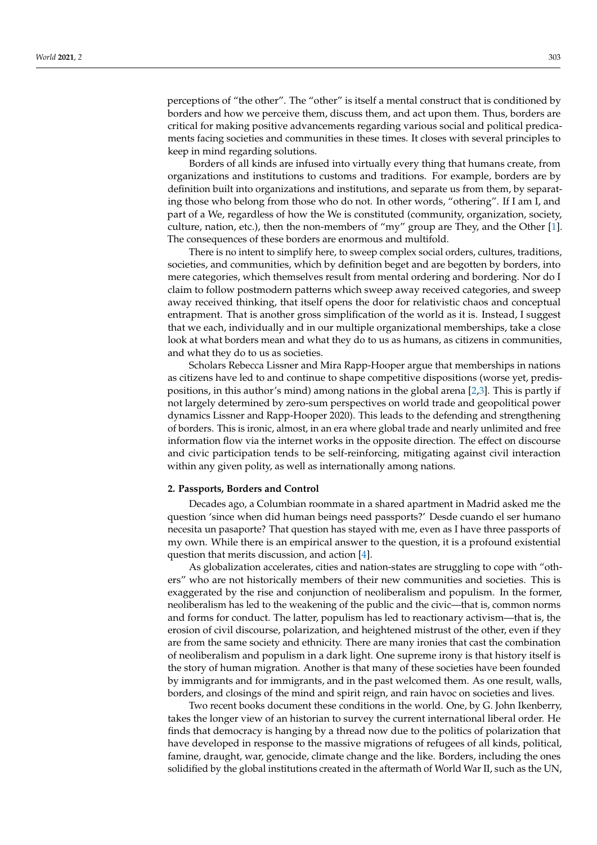perceptions of "the other". The "other" is itself a mental construct that is conditioned by borders and how we perceive them, discuss them, and act upon them. Thus, borders are critical for making positive advancements regarding various social and political predicaments facing societies and communities in these times. It closes with several principles to keep in mind regarding solutions.

Borders of all kinds are infused into virtually every thing that humans create, from organizations and institutions to customs and traditions. For example, borders are by definition built into organizations and institutions, and separate us from them, by separating those who belong from those who do not. In other words, "othering". If I am I, and part of a We, regardless of how the We is constituted (community, organization, society, culture, nation, etc.), then the non-members of "my" group are They, and the Other [\[1\]](#page-4-0). The consequences of these borders are enormous and multifold.

There is no intent to simplify here, to sweep complex social orders, cultures, traditions, societies, and communities, which by definition beget and are begotten by borders, into mere categories, which themselves result from mental ordering and bordering. Nor do I claim to follow postmodern patterns which sweep away received categories, and sweep away received thinking, that itself opens the door for relativistic chaos and conceptual entrapment. That is another gross simplification of the world as it is. Instead, I suggest that we each, individually and in our multiple organizational memberships, take a close look at what borders mean and what they do to us as humans, as citizens in communities, and what they do to us as societies.

Scholars Rebecca Lissner and Mira Rapp-Hooper argue that memberships in nations as citizens have led to and continue to shape competitive dispositions (worse yet, predispositions, in this author's mind) among nations in the global arena [\[2](#page-4-1)[,3\]](#page-4-2). This is partly if not largely determined by zero-sum perspectives on world trade and geopolitical power dynamics Lissner and Rapp-Hooper 2020). This leads to the defending and strengthening of borders. This is ironic, almost, in an era where global trade and nearly unlimited and free information flow via the internet works in the opposite direction. The effect on discourse and civic participation tends to be self-reinforcing, mitigating against civil interaction within any given polity, as well as internationally among nations.

#### **2. Passports, Borders and Control**

Decades ago, a Columbian roommate in a shared apartment in Madrid asked me the question 'since when did human beings need passports?' Desde cuando el ser humano necesita un pasaporte? That question has stayed with me, even as I have three passports of my own. While there is an empirical answer to the question, it is a profound existential question that merits discussion, and action [\[4\]](#page-4-3).

As globalization accelerates, cities and nation-states are struggling to cope with "others" who are not historically members of their new communities and societies. This is exaggerated by the rise and conjunction of neoliberalism and populism. In the former, neoliberalism has led to the weakening of the public and the civic—that is, common norms and forms for conduct. The latter, populism has led to reactionary activism—that is, the erosion of civil discourse, polarization, and heightened mistrust of the other, even if they are from the same society and ethnicity. There are many ironies that cast the combination of neoliberalism and populism in a dark light. One supreme irony is that history itself is the story of human migration. Another is that many of these societies have been founded by immigrants and for immigrants, and in the past welcomed them. As one result, walls, borders, and closings of the mind and spirit reign, and rain havoc on societies and lives.

Two recent books document these conditions in the world. One, by G. John Ikenberry, takes the longer view of an historian to survey the current international liberal order. He finds that democracy is hanging by a thread now due to the politics of polarization that have developed in response to the massive migrations of refugees of all kinds, political, famine, draught, war, genocide, climate change and the like. Borders, including the ones solidified by the global institutions created in the aftermath of World War II, such as the UN,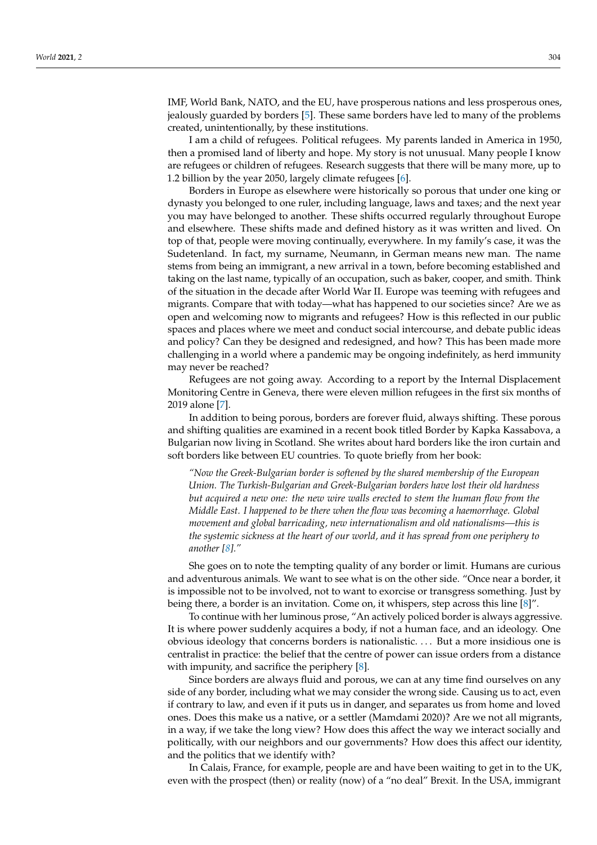IMF, World Bank, NATO, and the EU, have prosperous nations and less prosperous ones, jealously guarded by borders [\[5\]](#page-4-4). These same borders have led to many of the problems created, unintentionally, by these institutions.

I am a child of refugees. Political refugees. My parents landed in America in 1950, then a promised land of liberty and hope. My story is not unusual. Many people I know are refugees or children of refugees. Research suggests that there will be many more, up to 1.2 billion by the year 2050, largely climate refugees [\[6\]](#page-4-5).

Borders in Europe as elsewhere were historically so porous that under one king or dynasty you belonged to one ruler, including language, laws and taxes; and the next year you may have belonged to another. These shifts occurred regularly throughout Europe and elsewhere. These shifts made and defined history as it was written and lived. On top of that, people were moving continually, everywhere. In my family's case, it was the Sudetenland. In fact, my surname, Neumann, in German means new man. The name stems from being an immigrant, a new arrival in a town, before becoming established and taking on the last name, typically of an occupation, such as baker, cooper, and smith. Think of the situation in the decade after World War II. Europe was teeming with refugees and migrants. Compare that with today—what has happened to our societies since? Are we as open and welcoming now to migrants and refugees? How is this reflected in our public spaces and places where we meet and conduct social intercourse, and debate public ideas and policy? Can they be designed and redesigned, and how? This has been made more challenging in a world where a pandemic may be ongoing indefinitely, as herd immunity may never be reached?

Refugees are not going away. According to a report by the Internal Displacement Monitoring Centre in Geneva, there were eleven million refugees in the first six months of 2019 alone [\[7\]](#page-4-6).

In addition to being porous, borders are forever fluid, always shifting. These porous and shifting qualities are examined in a recent book titled Border by Kapka Kassabova, a Bulgarian now living in Scotland. She writes about hard borders like the iron curtain and soft borders like between EU countries. To quote briefly from her book:

*"Now the Greek-Bulgarian border is softened by the shared membership of the European Union. The Turkish-Bulgarian and Greek-Bulgarian borders have lost their old hardness but acquired a new one: the new wire walls erected to stem the human flow from the Middle East. I happened to be there when the flow was becoming a haemorrhage. Global movement and global barricading, new internationalism and old nationalisms—this is the systemic sickness at the heart of our world, and it has spread from one periphery to another [\[8\]](#page-4-7)."*

She goes on to note the tempting quality of any border or limit. Humans are curious and adventurous animals. We want to see what is on the other side. "Once near a border, it is impossible not to be involved, not to want to exorcise or transgress something. Just by being there, a border is an invitation. Come on, it whispers, step across this line [\[8\]](#page-4-7)".

To continue with her luminous prose, "An actively policed border is always aggressive. It is where power suddenly acquires a body, if not a human face, and an ideology. One obvious ideology that concerns borders is nationalistic. . . . But a more insidious one is centralist in practice: the belief that the centre of power can issue orders from a distance with impunity, and sacrifice the periphery [\[8\]](#page-4-7).

Since borders are always fluid and porous, we can at any time find ourselves on any side of any border, including what we may consider the wrong side. Causing us to act, even if contrary to law, and even if it puts us in danger, and separates us from home and loved ones. Does this make us a native, or a settler (Mamdami 2020)? Are we not all migrants, in a way, if we take the long view? How does this affect the way we interact socially and politically, with our neighbors and our governments? How does this affect our identity, and the politics that we identify with?

In Calais, France, for example, people are and have been waiting to get in to the UK, even with the prospect (then) or reality (now) of a "no deal" Brexit. In the USA, immigrant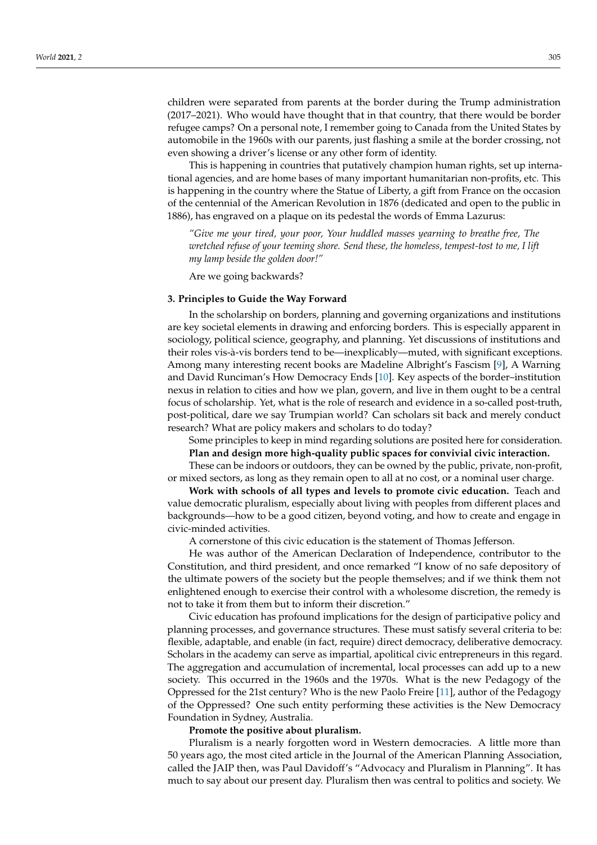children were separated from parents at the border during the Trump administration (2017–2021). Who would have thought that in that country, that there would be border refugee camps? On a personal note, I remember going to Canada from the United States by automobile in the 1960s with our parents, just flashing a smile at the border crossing, not even showing a driver's license or any other form of identity.

This is happening in countries that putatively champion human rights, set up international agencies, and are home bases of many important humanitarian non-profits, etc. This is happening in the country where the Statue of Liberty, a gift from France on the occasion of the centennial of the American Revolution in 1876 (dedicated and open to the public in 1886), has engraved on a plaque on its pedestal the words of Emma Lazurus:

*"Give me your tired, your poor, Your huddled masses yearning to breathe free, The wretched refuse of your teeming shore. Send these, the homeless, tempest-tost to me, I lift my lamp beside the golden door!"*

Are we going backwards?

#### **3. Principles to Guide the Way Forward**

In the scholarship on borders, planning and governing organizations and institutions are key societal elements in drawing and enforcing borders. This is especially apparent in sociology, political science, geography, and planning. Yet discussions of institutions and their roles vis-à-vis borders tend to be—inexplicably—muted, with significant exceptions. Among many interesting recent books are Madeline Albright's Fascism [\[9\]](#page-4-8), A Warning and David Runciman's How Democracy Ends [\[10\]](#page-4-9). Key aspects of the border–institution nexus in relation to cities and how we plan, govern, and live in them ought to be a central focus of scholarship. Yet, what is the role of research and evidence in a so-called post-truth, post-political, dare we say Trumpian world? Can scholars sit back and merely conduct research? What are policy makers and scholars to do today?

Some principles to keep in mind regarding solutions are posited here for consideration.

**Plan and design more high-quality public spaces for convivial civic interaction.**

These can be indoors or outdoors, they can be owned by the public, private, non-profit, or mixed sectors, as long as they remain open to all at no cost, or a nominal user charge.

**Work with schools of all types and levels to promote civic education.** Teach and value democratic pluralism, especially about living with peoples from different places and backgrounds—how to be a good citizen, beyond voting, and how to create and engage in civic-minded activities.

A cornerstone of this civic education is the statement of Thomas Jefferson.

He was author of the American Declaration of Independence, contributor to the Constitution, and third president, and once remarked "I know of no safe depository of the ultimate powers of the society but the people themselves; and if we think them not enlightened enough to exercise their control with a wholesome discretion, the remedy is not to take it from them but to inform their discretion."

Civic education has profound implications for the design of participative policy and planning processes, and governance structures. These must satisfy several criteria to be: flexible, adaptable, and enable (in fact, require) direct democracy, deliberative democracy. Scholars in the academy can serve as impartial, apolitical civic entrepreneurs in this regard. The aggregation and accumulation of incremental, local processes can add up to a new society. This occurred in the 1960s and the 1970s. What is the new Pedagogy of the Oppressed for the 21st century? Who is the new Paolo Freire [\[11\]](#page-5-0), author of the Pedagogy of the Oppressed? One such entity performing these activities is the New Democracy Foundation in Sydney, Australia.

#### **Promote the positive about pluralism.**

Pluralism is a nearly forgotten word in Western democracies. A little more than 50 years ago, the most cited article in the Journal of the American Planning Association, called the JAIP then, was Paul Davidoff's "Advocacy and Pluralism in Planning". It has much to say about our present day. Pluralism then was central to politics and society. We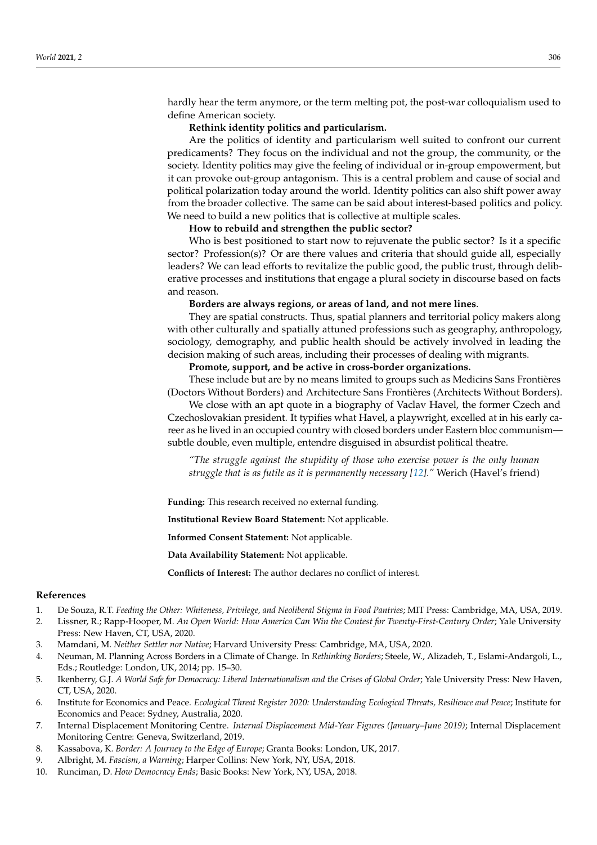hardly hear the term anymore, or the term melting pot, the post-war colloquialism used to define American society.

#### **Rethink identity politics and particularism.**

Are the politics of identity and particularism well suited to confront our current predicaments? They focus on the individual and not the group, the community, or the society. Identity politics may give the feeling of individual or in-group empowerment, but it can provoke out-group antagonism. This is a central problem and cause of social and political polarization today around the world. Identity politics can also shift power away from the broader collective. The same can be said about interest-based politics and policy. We need to build a new politics that is collective at multiple scales.

### **How to rebuild and strengthen the public sector?**

Who is best positioned to start now to rejuvenate the public sector? Is it a specific sector? Profession(s)? Or are there values and criteria that should guide all, especially leaders? We can lead efforts to revitalize the public good, the public trust, through deliberative processes and institutions that engage a plural society in discourse based on facts and reason.

#### **Borders are always regions, or areas of land, and not mere lines**.

They are spatial constructs. Thus, spatial planners and territorial policy makers along with other culturally and spatially attuned professions such as geography, anthropology, sociology, demography, and public health should be actively involved in leading the decision making of such areas, including their processes of dealing with migrants.

## **Promote, support, and be active in cross-border organizations.**

These include but are by no means limited to groups such as Medicins Sans Frontières (Doctors Without Borders) and Architecture Sans Frontières (Architects Without Borders).

We close with an apt quote in a biography of Vaclav Havel, the former Czech and Czechoslovakian president. It typifies what Havel, a playwright, excelled at in his early career as he lived in an occupied country with closed borders under Eastern bloc communism subtle double, even multiple, entendre disguised in absurdist political theatre.

*"The struggle against the stupidity of those who exercise power is the only human struggle that is as futile as it is permanently necessary [\[12\]](#page-5-1)."* Werich (Havel's friend)

**Funding:** This research received no external funding.

**Institutional Review Board Statement:** Not applicable.

**Informed Consent Statement:** Not applicable.

**Data Availability Statement:** Not applicable.

**Conflicts of Interest:** The author declares no conflict of interest.

## **References**

- <span id="page-4-0"></span>1. De Souza, R.T. *Feeding the Other: Whiteness, Privilege, and Neoliberal Stigma in Food Pantries*; MIT Press: Cambridge, MA, USA, 2019.
- <span id="page-4-1"></span>2. Lissner, R.; Rapp-Hooper, M. *An Open World: How America Can Win the Contest for Twenty-First-Century Order*; Yale University Press: New Haven, CT, USA, 2020.
- <span id="page-4-2"></span>3. Mamdani, M. *Neither Settler nor Native*; Harvard University Press: Cambridge, MA, USA, 2020.
- <span id="page-4-3"></span>4. Neuman, M. Planning Across Borders in a Climate of Change. In *Rethinking Borders*; Steele, W., Alizadeh, T., Eslami-Andargoli, L., Eds.; Routledge: London, UK, 2014; pp. 15–30.
- <span id="page-4-4"></span>5. Ikenberry, G.J. *A World Safe for Democracy: Liberal Internationalism and the Crises of Global Order*; Yale University Press: New Haven, CT, USA, 2020.
- <span id="page-4-5"></span>6. Institute for Economics and Peace. *Ecological Threat Register 2020: Understanding Ecological Threats, Resilience and Peace*; Institute for Economics and Peace: Sydney, Australia, 2020.
- <span id="page-4-6"></span>7. Internal Displacement Monitoring Centre. *Internal Displacement Mid-Year Figures (January–June 2019)*; Internal Displacement Monitoring Centre: Geneva, Switzerland, 2019.
- <span id="page-4-7"></span>8. Kassabova, K. *Border: A Journey to the Edge of Europe*; Granta Books: London, UK, 2017.
- <span id="page-4-8"></span>9. Albright, M. *Fascism, a Warning*; Harper Collins: New York, NY, USA, 2018.
- <span id="page-4-9"></span>10. Runciman, D. *How Democracy Ends*; Basic Books: New York, NY, USA, 2018.